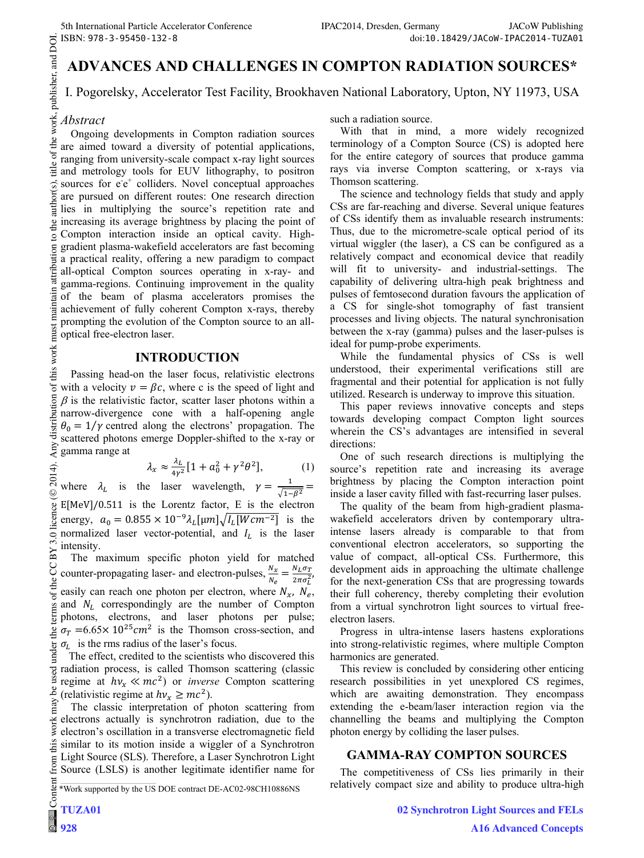# **ADVANCES AND CHALLENGES IN COMPTON RADIATION SOURCES\***

I. Pogorelsky, Accelerator Test Facility, Brookhaven National Laboratory, Upton, NY 11973, USA

# *Abstract*

Ongoing developments in Compton radiation sources are aimed toward a diversity of potential applications, ranging from university-scale compact x-ray light sources and metrology tools for EUV lithography, to positron sources for e<sup>-e+</sup> colliders. Novel conceptual approaches are pursued on different routes: One research direction lies in multiplying the source's repetition rate and increasing its average brightness by placing the point of Compton interaction inside an optical cavity. Highgradient plasma-wakefield accelerators are fast becoming a practical reality, offering a new paradigm to compact all-optical Compton sources operating in x-ray- and gamma-regions. Continuing improvement in the quality of the beam of plasma accelerators promises the achievement of fully coherent Compton x-rays, thereby prompting the evolution of the Compton source to an alloptical free-electron laser.

### **INTRODUCTION**

Passing head-on the laser focus, relativistic electrons with a velocity  $v = \beta c$ , where c is the speed of light and  $\beta$  is the relativistic factor, scatter laser photons within a narrow-divergence cone with a half-opening angle  $\theta_0 = 1/\gamma$  centred along the electrons' propagation. The scattered photons emerge Doppler-shifted to the x-ray or gamma range at

$$
\lambda_x \approx \frac{\lambda_L}{4\gamma^2} \left[ 1 + a_0^2 + \gamma^2 \theta^2 \right],\tag{1}
$$

where  $\lambda_L$  is the laser wavelength,  $\gamma = \frac{1}{\sqrt{1-\beta^2}}$  $E[MeV]/0.511$  is the Lorentz factor, E is the electron energy,  $a_0 = 0.855 \times 10^{-9} \lambda_L [\mu m] \sqrt{I_L [Wcm^{-2}]}$  is the normalized laser vector-potential, and  $I_L$  is the laser intensity.

The maximum specific photon yield for matched counter-propagating laser- and electron-pulses,  $\frac{N_x}{N_e} = \frac{N_L \sigma_T}{2 \pi \sigma_L^2}$ easily can reach one photon per electron, where  $N_x$ ,  $N_e$ , and  $N_L$  correspondingly are the number of Compton photons, electrons, and laser photons per pulse;  $\sigma_T = 6.65 \times 10^{25} \text{cm}^2$  is the Thomson cross-section, and  $\sigma_l$  is the rms radius of the laser's focus.

 The effect, credited to the scientists who discovered this radiation process, is called Thomson scattering (classic regime at  $hv_x \ll mc^2$ ) or *inverse* Compton scattering (relativistic regime at  $hv_x \geq mc^2$ ).

The classic interpretation of photon scattering from electrons actually is synchrotron radiation, due to the electron's oscillation in a transverse electromagnetic field similar to its motion inside a wiggler of a Synchrotron Light Source (SLS). Therefore, a Laser Synchrotron Light Source (LSLS) is another legitimate identifier name for such a radiation source.

With that in mind, a more widely recognized terminology of a Compton Source (CS) is adopted here for the entire category of sources that produce gamma rays via inverse Compton scattering, or x-rays via Thomson scattering.

The science and technology fields that study and apply CSs are far-reaching and diverse. Several unique features of CSs identify them as invaluable research instruments: Thus, due to the micrometre-scale optical period of its virtual wiggler (the laser), a CS can be configured as a relatively compact and economical device that readily will fit to university- and industrial-settings. The capability of delivering ultra-high peak brightness and pulses of femtosecond duration favours the application of a CS for single-shot tomography of fast transient processes and living objects. The natural synchronisation between the x-ray (gamma) pulses and the laser-pulses is ideal for pump-probe experiments.

While the fundamental physics of CSs is well understood, their experimental verifications still are fragmental and their potential for application is not fully utilized. Research is underway to improve this situation.

This paper reviews innovative concepts and steps towards developing compact Compton light sources wherein the CS's advantages are intensified in several directions:

One of such research directions is multiplying the source's repetition rate and increasing its average brightness by placing the Compton interaction point inside a laser cavity filled with fast-recurring laser pulses.

The quality of the beam from high-gradient plasmawakefield accelerators driven by contemporary ultraintense lasers already is comparable to that from conventional electron accelerators, so supporting the value of compact, all-optical CSs. Furthermore, this development aids in approaching the ultimate challenge for the next-generation CSs that are progressing towards their full coherency, thereby completing their evolution from a virtual synchrotron light sources to virtual freeelectron lasers.

Progress in ultra-intense lasers hastens explorations into strong-relativistic regimes, where multiple Compton harmonics are generated.

This review is concluded by considering other enticing research possibilities in yet unexplored CS regimes, which are awaiting demonstration. They encompass extending the e-beam/laser interaction region via the channelling the beams and multiplying the Compton photon energy by colliding the laser pulses.

# **GAMMA-RAY COMPTON SOURCES**

The competitiveness of CSs lies primarily in their relatively compact size and ability to produce ultra-high

<sup>\*</sup>Work supported by the US DOE contract DE-AC02-98CH10886NS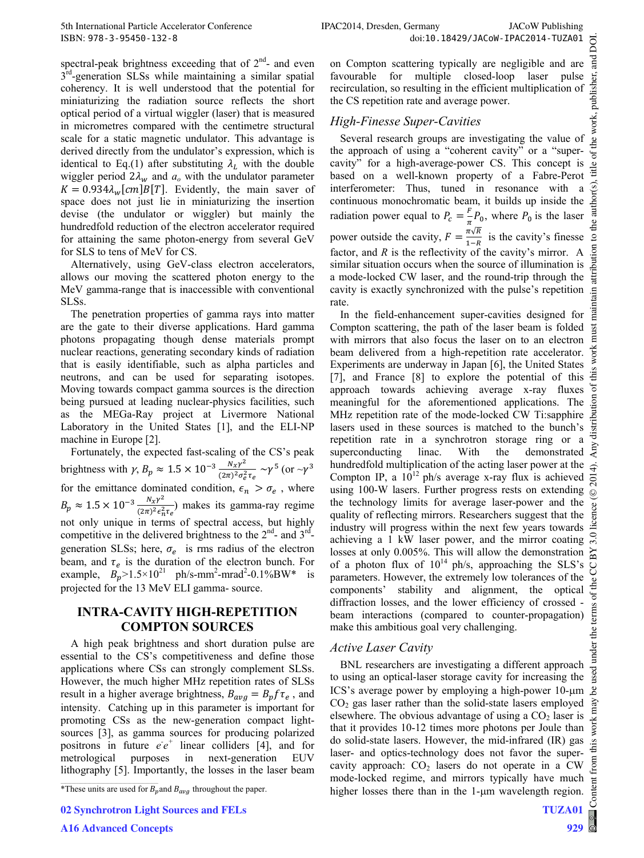spectral-peak brightness exceeding that of  $2<sup>nd</sup>$ - and even  $3<sup>rd</sup>$ -generation SLSs while maintaining a similar spatial coherency. It is well understood that the potential for miniaturizing the radiation source reflects the short optical period of a virtual wiggler (laser) that is measured in micrometres compared with the centimetre structural scale for a static magnetic undulator. This advantage is derived directly from the undulator's expression, which is identical to Eq.(1) after substituting  $\lambda_L$  with the double wiggler period  $2\lambda_w$  and  $a_o$  with the undulator parameter  $K = 0.934 \lambda_w [cm] B[T]$ . Evidently, the main saver of space does not just lie in miniaturizing the insertion devise (the undulator or wiggler) but mainly the hundredfold reduction of the electron accelerator required for attaining the same photon-energy from several GeV for SLS to tens of MeV for CS.

Alternatively, using GeV-class electron accelerators, allows our moving the scattered photon energy to the MeV gamma-range that is inaccessible with conventional SLSs.

The penetration properties of gamma rays into matter are the gate to their diverse applications. Hard gamma photons propagating though dense materials prompt nuclear reactions, generating secondary kinds of radiation that is easily identifiable, such as alpha particles and neutrons, and can be used for separating isotopes. Moving towards compact gamma sources is the direction being pursued at leading nuclear-physics facilities, such as the MEGa-Ray project at Livermore National Laboratory in the United States [1], and the ELI-NP machine in Europe [2].

Fortunately, the expected fast-scaling of the CS's peak brightness with  $\gamma$ ,  $B_p \approx 1.5 \times 10^{-3} \frac{N_x \gamma^2}{(2\pi)^2 \sigma_e^2 \tau_e} \sim \gamma^5$  (or  $\sim \gamma^3$ for the emittance dominated condition,  $\epsilon_n > \sigma_e$ , where  $B_p \approx 1.5 \times 10^{-3} \frac{N_x \gamma^2}{(2\pi)^2 \epsilon_n^2 \tau_e}$  makes its gamma-ray regime not only unique in terms of spectral access, but highly competitive in the delivered brightness to the  $2<sup>nd</sup>$ - and  $3<sup>rd</sup>$ generation SLSs; here,  $\sigma_e$  is rms radius of the electron beam, and  $\tau_e$  is the duration of the electron bunch. For example,  $B_p > 1.5 \times 10^{21}$  ph/s-mm<sup>2</sup>-mrad<sup>2</sup>-0.1%BW\* is projected for the 13 MeV ELI gamma- source.

# **INTRA-CAVITY HIGH-REPETITION COMPTON SOURCES**

A high peak brightness and short duration pulse are essential to the CS's competitiveness and define those applications where CSs can strongly complement SLSs. However, the much higher MHz repetition rates of SLSs result in a higher average brightness,  $B_{avg} = B_p f \tau_e$ , and intensity. Catching up in this parameter is important for promoting CSs as the new-generation compact lightsources [3], as gamma sources for producing polarized positrons in future  $e^+e^+$  linear colliders [4], and for metrological purposes in next-generation EUV lithography [5]. Importantly, the losses in the laser beam

**02 Synchrotron Light Sources and FELs**

on Compton scattering typically are negligible and are favourable for multiple closed-loop laser pulse recirculation, so resulting in the efficient multiplication of the CS repetition rate and average power.

### *High-Finesse Super-Cavities*

Several research groups are investigating the value of the approach of using a "coherent cavity" or a "supercavity" for a high-average-power CS. This concept is based on a well-known property of a Fabre-Perot interferometer: Thus, tuned in resonance with a continuous monochromatic beam, it builds up inside the radiation power equal to  $P_c = \frac{F}{\pi} P_0$ , where  $P_0$  is the laser power outside the cavity,  $F = \frac{\pi \sqrt{R}}{1-R}$  is the cavity's finesse factor, and  $R$  is the reflectivity of the cavity's mirror. A similar situation occurs when the source of illumination is a mode-locked CW laser, and the round-trip through the cavity is exactly synchronized with the pulse's repetition rate.

In the field-enhancement super-cavities designed for Compton scattering, the path of the laser beam is folded with mirrors that also focus the laser on to an electron beam delivered from a high-repetition rate accelerator. Experiments are underway in Japan [6], the United States [7], and France [8] to explore the potential of this approach towards achieving average x-ray fluxes meaningful for the aforementioned applications. The MHz repetition rate of the mode-locked CW Ti:sapphire  $\frac{5}{15}$  lasers used in these sources is matched to the bunch's repetition rate in a synchrotron storage ring or a superconducting linac. With the demonstrated  $\frac{5$ lasers used in these sources is matched to the bunch's repetition rate in a synchrotron storage ring or a superconducting linac. With the demonstrated hundredfold multiplication of the acting laser power at the Compton IP, a  $10^{12}$  ph/s average x-ray flux is achieved using 100-W lasers. Further progress rests on extending the technology limits for average laser-power and the quality of reflecting mirrors. Researchers suggest that the industry will progress within the next few years towards achieving a 1 kW laser power, and the mirror coating losses at only 0.005%. This will allow the demonstration  $\approx$ of a photon flux of  $10^{14}$  ph/s, approaching the SLS's parameters. However, the extremely low tolerances of the components' stability and alignment, the optical diffraction losses, and the lower efficiency of crossed beam interactions (compared to counter-propagation) make this ambitious goal very challenging.

#### *Active Laser Cavity*

BNL researchers are investigating a different approach to using an optical-laser storage cavity for increasing the ICS's average power by employing a high-power  $10$ - $\mu$ m  $CO<sub>2</sub>$  gas laser rather than the solid-state lasers employed elsewhere. The obvious advantage of using a  $CO<sub>2</sub>$  laser is that it provides 10-12 times more photons per Joule than do solid-state lasers. However, the mid-infrared (IR) gas laser- and optics-technology does not favor the supercavity approach:  $CO<sub>2</sub>$  lasers do not operate in a CW mode-locked regime, and mirrors typically have much higher losses there than in the  $1$ - $\mu$ m wavelength region.

<sup>\*</sup>These units are used for  $B_p$  and  $B_{avg}$  throughout the paper.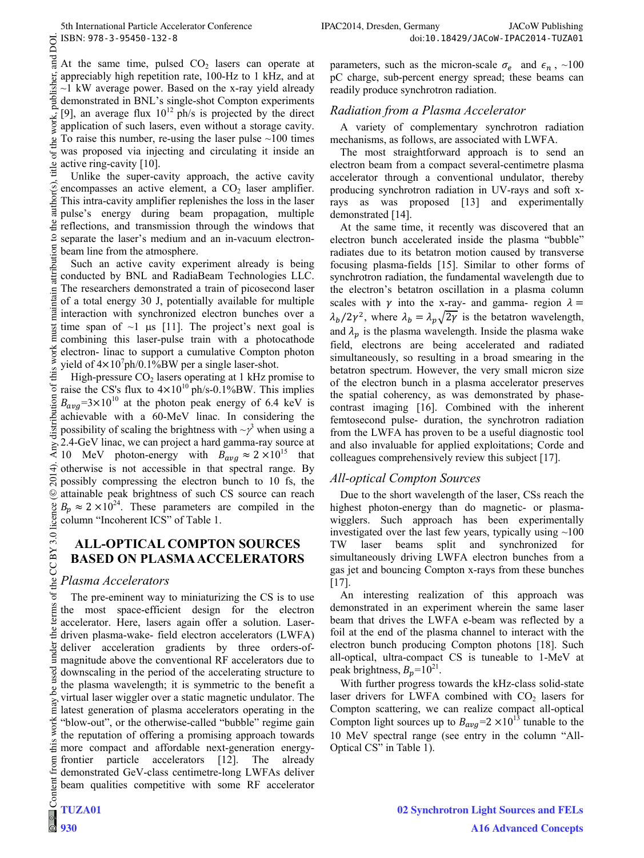DOI.

ਰੂ At the same time, pulsed  $CO<sub>2</sub>$  lasers can operate at publisher, appreciably high repetition rate, 100-Hz to 1 kHz, and at  $\sim$ 1 kW average power. Based on the x-ray yield already demonstrated in BNL's single-shot Compton experiments [9], an average flux  $10^{12}$  ph/s is projected by the direct work, application of such lasers, even without a storage cavity. To raise this number, re-using the laser pulse  $\sim$ 100 times  $\mathbf{e}$ was proposed via injecting and circulating it inside an  $\overline{a}$ active ring-cavity [10]. itle

Unlike the super-cavity approach, the active cavity author(s) encompasses an active element, a  $CO<sub>2</sub>$  laser amplifier. This intra-cavity amplifier replenishes the loss in the laser pulse's energy during beam propagation, multiple de reflections, and transmission through the windows that  $\overline{S}$ separate the laser's medium and an in-vacuum electronbution beam line from the atmosphere.

Such an active cavity experiment already is being i conducted by BNL and RadiaBeam Technologies LLC. The researchers demonstrated a train of picosecond laser maintain of a total energy 30 J, potentially available for multiple interaction with synchronized electron bunches over a time span of  $\sim$ 1 µs [11]. The project's next goal is must combining this laser-pulse train with a photocathode this work electron- linac to support a cumulative Compton photon yield of  $4 \times 10^7$ ph/0.1%BW per a single laser-shot.

 $\circledcirc$  2014). Any distribution of this work must maintain attribution to the author(s), title of the work, publisher, and DOI. High-pressure  $CO<sub>2</sub>$  lasers operating at 1 kHz promise to distribution of raise the CS's flux to  $4 \times 10^{10}$  ph/s-0.1%BW. This implies  $B_{avg}$ =3×10<sup>10</sup> at the photon peak energy of 6.4 keV is achievable with a 60-MeV linac. In considering the possibility of scaling the brightness with  $\sim \gamma^3$  when using a 2.4-GeV linac, we can project a hard gamma-ray source at 10 MeV photon-energy with  $B_{avg} \approx 2 \times 10^{15}$  that  $\hat{\mathcal{F}}$  otherwise is not accessible in that spectral range. By  $\overline{5}$ possibly compressing the electron bunch to 10 fs, the  $\odot$ attainable peak brightness of such CS source can reach  $B_p \approx 2 \times 10^{24}$ . These parameters are compiled in the licence column "Incoherent ICS" of Table 1.

### **ALL-OPTICAL COMPTON SOURCES BASED ON PLASMA ACCELERATORS**

#### the *Plasma Accelerators*

Content from this work may be used under the terms of the CC BY 3.0 licence ( $@$ The pre-eminent way to miniaturizing the CS is to use the most space-efficient design for the electron accelerator. Here, lasers again offer a solution. Laserthe i driven plasma-wake- field electron accelerators (LWFA) under deliver acceleration gradients by three orders-ofmagnitude above the conventional RF accelerators due to downscaling in the period of the accelerating structure to the plasma wavelength; it is symmetric to the benefit a virtual laser wiggler over a static magnetic undulator. The latest generation of plasma accelerators operating in the work "blow-out", or the otherwise-called "bubble" regime gain the reputation of offering a promising approach towards this more compact and affordable next-generation energyfrontier particle accelerators [12]. The already demonstrated GeV-class centimetre-long LWFAs deliver beam qualities competitive with some RF accelerator

parameters, such as the micron-scale  $\sigma_e$  and  $\epsilon_n$ , ~100 pC charge, sub-percent energy spread; these beams can readily produce synchrotron radiation.

#### *Radiation from a Plasma Accelerator*

A variety of complementary synchrotron radiation mechanisms, as follows, are associated with LWFA.

The most straightforward approach is to send an electron beam from a compact several-centimetre plasma accelerator through a conventional undulator, thereby producing synchrotron radiation in UV-rays and soft xrays as was proposed [13] and experimentally demonstrated [14].

At the same time, it recently was discovered that an electron bunch accelerated inside the plasma "bubble" radiates due to its betatron motion caused by transverse focusing plasma-fields [15]. Similar to other forms of synchrotron radiation, the fundamental wavelength due to the electron's betatron oscillation in a plasma column scales with  $\gamma$  into the x-ray- and gamma- region  $\lambda =$  $\lambda_b/2\gamma^2$ , where  $\lambda_b = \lambda_p\sqrt{2\gamma}$  is the betatron wavelength, and  $\lambda_p$  is the plasma wavelength. Inside the plasma wake field, electrons are being accelerated and radiated simultaneously, so resulting in a broad smearing in the betatron spectrum. However, the very small micron size of the electron bunch in a plasma accelerator preserves the spatial coherency, as was demonstrated by phasecontrast imaging [16]. Combined with the inherent femtosecond pulse- duration, the synchrotron radiation from the LWFA has proven to be a useful diagnostic tool and also invaluable for applied exploitations; Corde and colleagues comprehensively review this subject [17].

# *All-optical Compton Sources*

Due to the short wavelength of the laser, CSs reach the highest photon-energy than do magnetic- or plasmawigglers. Such approach has been experimentally investigated over the last few years, typically using  $\sim$ 100 TW laser beams split and synchronized for simultaneously driving LWFA electron bunches from a gas jet and bouncing Compton x-rays from these bunches [17].

An interesting realization of this approach was demonstrated in an experiment wherein the same laser beam that drives the LWFA e-beam was reflected by a foil at the end of the plasma channel to interact with the electron bunch producing Compton photons [18]. Such all-optical, ultra-compact CS is tuneable to 1-MeV at peak brightness,  $B_p = 10^{21}$ .

With further progress towards the kHz-class solid-state laser drivers for LWFA combined with  $CO<sub>2</sub>$  lasers for Compton scattering, we can realize compact all-optical Compton light sources up to  $B_{\alpha\nu\rho} = 2 \times 10^{13}$  tunable to the 10 MeV spectral range (see entry in the column "All-Optical CS" in Table 1).

 $CC$  BY  $3.0$ 

terms of

**be** may

from ten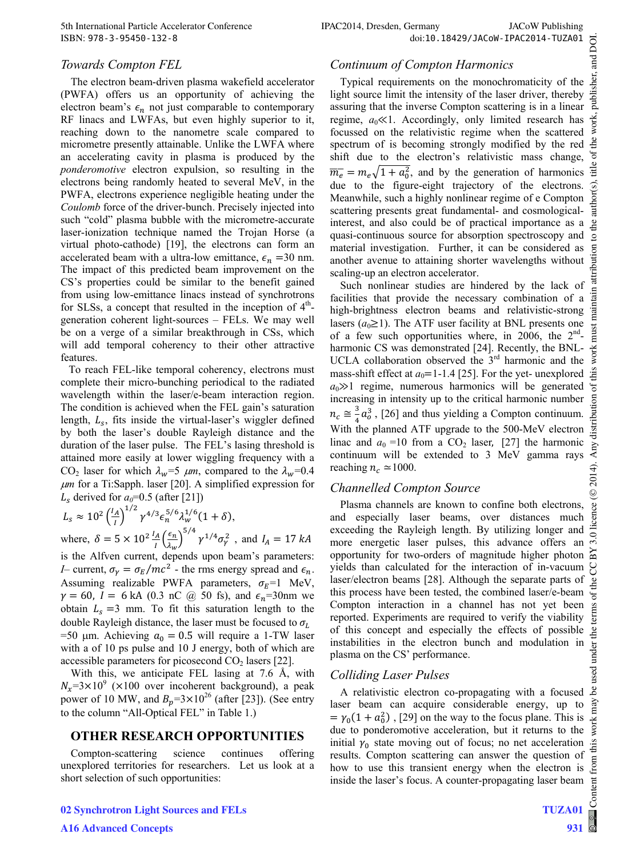#### *Towards Compton FEL*

The electron beam-driven plasma wakefield accelerator (PWFA) offers us an opportunity of achieving the electron beam's  $\epsilon_n$  not just comparable to contemporary RF linacs and LWFAs, but even highly superior to it, reaching down to the nanometre scale compared to micrometre presently attainable. Unlike the LWFA where an accelerating cavity in plasma is produced by the *ponderomotive* electron expulsion, so resulting in the electrons being randomly heated to several MeV, in the PWFA, electrons experience negligible heating under the *Coulomb* force of the driver-bunch. Precisely injected into such "cold" plasma bubble with the micrometre-accurate laser-ionization technique named the Trojan Horse (a virtual photo-cathode) [19], the electrons can form an accelerated beam with a ultra-low emittance,  $\epsilon_n = 30$  nm. The impact of this predicted beam improvement on the CS's properties could be similar to the benefit gained from using low-emittance linacs instead of synchrotrons for SLSs, a concept that resulted in the inception of  $4<sup>th</sup>$ generation coherent light-sources – FELs. We may well be on a verge of a similar breakthrough in CSs, which will add temporal coherency to their other attractive features.

 To reach FEL-like temporal coherency, electrons must complete their micro-bunching periodical to the radiated wavelength within the laser/e-beam interaction region. The condition is achieved when the FEL gain's saturation length,  $L_s$ , fits inside the virtual-laser's wiggler defined by both the laser's double Rayleigh distance and the duration of the laser pulse. The FEL's lasing threshold is attained more easily at lower wiggling frequency with a  $CO_2$  laser for which  $\lambda_w = 5 \mu m$ , compared to the  $\lambda_w = 0.4$ *m* for a Ti:Sapph. laser [20]. A simplified expression for  $L_s$  derived for  $a_0=0.5$  (after [21])

$$
L_s \approx 10^2 \left(\frac{I_A}{I}\right)^{1/2} \gamma^{4/3} \epsilon_n^{5/6} \lambda_w^{1/6} (1+\delta),
$$
  
where  $\delta = 5 \times 10^{2} \frac{I_A}{I} \left(\frac{\epsilon_n}{I}\right)^{5/4} \frac{1}{2} \frac{1}{4} \epsilon_{n}^{2}$  and  $I = 1$ .

where,  $\delta = 5 \times 10^2 \frac{I_A}{I} \left( \frac{\epsilon_n}{\lambda_w} \right)$  $\left(\frac{\epsilon_n}{\lambda_w}\right)^{5/4} \gamma^{1/4} \sigma_\gamma^2$ , and  $I_A = 17 \text{ kA}$ is the Alfven current, depends upon beam's parameters: *I*– current,  $\sigma_{\gamma} = \sigma_{E} / mc^{2}$  - the rms energy spread and  $\epsilon_{n}$ . Assuming realizable PWFA parameters,  $\sigma_E = 1$  MeV,  $\gamma = 60$ ,  $I = 6$  kA (0.3 nC @ 50 fs), and  $\epsilon_n = 30$ nm we obtain  $L_s = 3$  mm. To fit this saturation length to the double Rayleigh distance, the laser must be focused to  $\sigma_L$  $=50$  µm. Achieving  $a_0 = 0.5$  will require a 1-TW laser with a of 10 ps pulse and 10 J energy, both of which are accessible parameters for picosecond  $CO<sub>2</sub>$  lasers [22].

With this, we anticipate FEL lasing at 7.6 Å, with  $N_x=3\times10^9$  (×100 over incoherent background), a peak power of 10 MW, and  $B_p = 3 \times 10^{26}$  (after [23]). (See entry to the column "All-Optical FEL" in Table 1.)

#### **OTHER RESEARCH OPPORTUNITIES**

Compton-scattering science continues offering unexplored territories for researchers. Let us look at a short selection of such opportunities:

**02 Synchrotron Light Sources and FELs A16 Advanced Concepts**

#### *Continuum of Compton Harmonics*

Typical requirements on the monochromaticity of the  $\frac{12}{25}$ <br>the source limit the intensity of the laser driver, thereby  $\frac{12}{25}$ <br>suring that the inverse Compton scattering is in a linear light source limit the intensity of the laser driver, thereby assuring that the inverse Compton scattering is in a linear regime,  $a_0 \ll 1$ . Accordingly, only limited research has focussed on the relativistic regime when the scattered spectrum of is becoming strongly modified by the red shift due to the electron's relativistic mass change,  $\overline{m_e} = m_e \sqrt{1 + a_0^2}$ , and by the generation of harmonics due to the figure-eight trajectory of the electrons. Meanwhile, such a highly nonlinear regime of e Compton scattering presents great fundamental- and cosmologicalinterest, and also could be of practical importance as a quasi-continuous source for absorption spectroscopy and material investigation. Further, it can be considered as another avenue to attaining shorter wavelengths without scaling-up an electron accelerator.

Such nonlinear studies are hindered by the lack of facilities that provide the necessary combination of a high-brightness electron beams and relativistic-strong lasers  $(a_0 \ge 1)$ . The ATF user facility at BNL presents one of a few such opportunities where, in 2006, the  $2<sup>nd</sup>$ harmonic CS was demonstrated [24]. Recently, the BNL-UCLA collaboration observed the  $3<sup>rd</sup>$  harmonic and the mass-shift effect at  $a_0$ =1-1.4 [25]. For the yet- unexplored  $a_0 \gg 1$  regime, numerous harmonics will be generated increasing in intensity up to the critical harmonic number  $n_c \approx \frac{3}{4}a_o^3$ , [26] and thus yielding a Compton continuum. With the planned ATF upgrade to the 500-MeV electron linac and  $a_0 = 10$  from a CO<sub>2</sub> laser, [27] the harmonic continuum will be extended to 3 MeV gamma rays reaching  $n_c \approx 1000$ .

#### *Channelled Compton Source*

Plasma channels are known to confine both electrons, and especially laser beams, over distances much exceeding the Rayleigh length. By utilizing longer and more energetic laser pulses, this advance offers an opportunity for two-orders of magnitude higher photon yields than calculated for the interaction of in-vacuum laser/electron beams [28]. Although the separate parts of this process have been tested, the combined laser/e-beam Compton interaction in a channel has not yet been reported. Experiments are required to verify the viability of this concept and especially the effects of possible instabilities in the electron bunch and modulation in plasma on the CS' performance.

#### *Colliding Laser Pulses*

A relativistic electron co-propagating with a focused  $\triangle$ laser beam can acquire considerable energy, up to  $= \gamma_0 (1 + a_0^2)$ , [29] on the way to the focus plane. This is due to ponderomotive acceleration, but it returns to the initial  $\gamma_0$  state moving out of focus; no net acceleration results. Compton scattering can answer the question of how to use this transient energy when the electron is inside the laser's focus. A counter-propagating laser beam